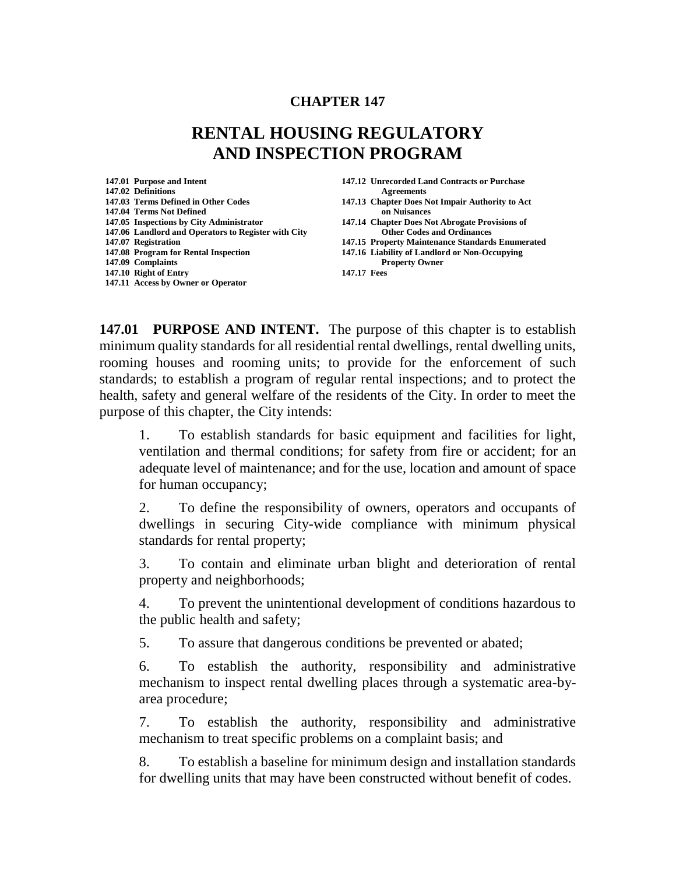#### **CHAPTER 147**

# **RENTAL HOUSING REGULATORY AND INSPECTION PROGRAM**

**147.02 Definitions Agreements**<br>**147.03 Terms Defined in Other Codes 147.03 Chapter Does N 147.04 Terms Not Defined on Nuisances 147.05 Inspections by City Administrator 147.14 Chapter Does Not Abrogate Provisions of 147.06 Landlord and Operators to Register with City 147.07 Registration 147.08 Program for Rental Inspection 147.16 Liability of Landlord or Non-Occupying 147.09 Complaints Property Owner**<br> **147.10 Right of Entry 147.10 Right of Entry 147.17 Fees 147.11 Access by Owner or Operator**

**147.01 Purpose and Intent 147.12 Unrecorded Land Contracts or Purchase** 

- **147.13 Chapter Does Not Impair Authority to Act**
- 
- **147.07 Registration 147.15 Property Maintenance Standards Enumerated**
- 
- 

**147.01 PURPOSE AND INTENT.** The purpose of this chapter is to establish minimum quality standards for all residential rental dwellings, rental dwelling units, rooming houses and rooming units; to provide for the enforcement of such

standards; to establish a program of regular rental inspections; and to protect the health, safety and general welfare of the residents of the City. In order to meet the purpose of this chapter, the City intends:

1. To establish standards for basic equipment and facilities for light, ventilation and thermal conditions; for safety from fire or accident; for an adequate level of maintenance; and for the use, location and amount of space for human occupancy;

2. To define the responsibility of owners, operators and occupants of dwellings in securing City-wide compliance with minimum physical standards for rental property;

3. To contain and eliminate urban blight and deterioration of rental property and neighborhoods;

4. To prevent the unintentional development of conditions hazardous to the public health and safety;

5. To assure that dangerous conditions be prevented or abated;

6. To establish the authority, responsibility and administrative mechanism to inspect rental dwelling places through a systematic area-byarea procedure;

7. To establish the authority, responsibility and administrative mechanism to treat specific problems on a complaint basis; and

8. To establish a baseline for minimum design and installation standards for dwelling units that may have been constructed without benefit of codes.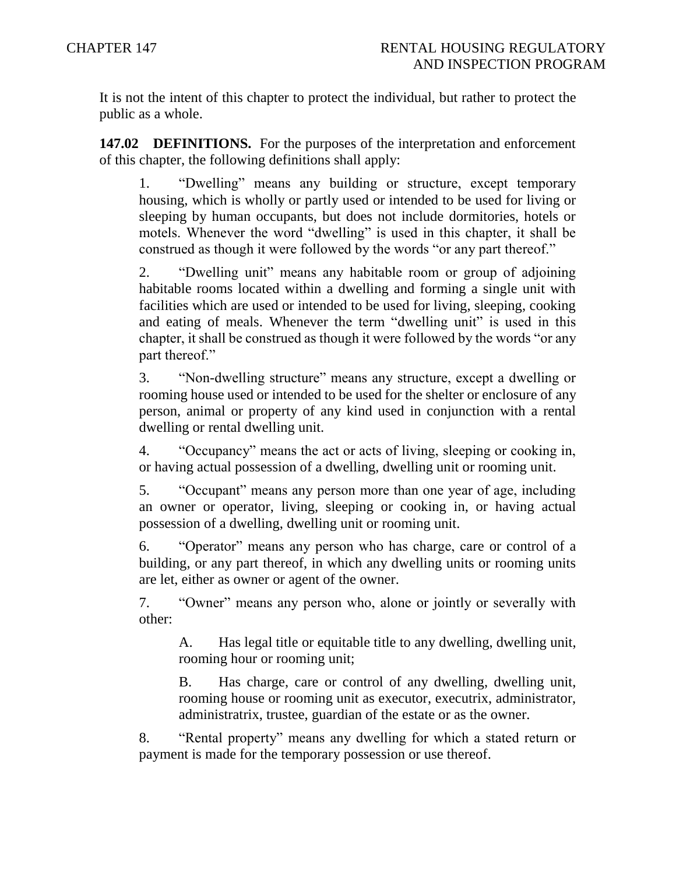It is not the intent of this chapter to protect the individual, but rather to protect the public as a whole.

**147.02 DEFINITIONS.** For the purposes of the interpretation and enforcement of this chapter, the following definitions shall apply:

1. "Dwelling" means any building or structure, except temporary housing, which is wholly or partly used or intended to be used for living or sleeping by human occupants, but does not include dormitories, hotels or motels. Whenever the word "dwelling" is used in this chapter, it shall be construed as though it were followed by the words "or any part thereof."

2. "Dwelling unit" means any habitable room or group of adjoining habitable rooms located within a dwelling and forming a single unit with facilities which are used or intended to be used for living, sleeping, cooking and eating of meals. Whenever the term "dwelling unit" is used in this chapter, it shall be construed as though it were followed by the words "or any part thereof."

3. "Non-dwelling structure" means any structure, except a dwelling or rooming house used or intended to be used for the shelter or enclosure of any person, animal or property of any kind used in conjunction with a rental dwelling or rental dwelling unit.

4. "Occupancy" means the act or acts of living, sleeping or cooking in, or having actual possession of a dwelling, dwelling unit or rooming unit.

5. "Occupant" means any person more than one year of age, including an owner or operator, living, sleeping or cooking in, or having actual possession of a dwelling, dwelling unit or rooming unit.

6. "Operator" means any person who has charge, care or control of a building, or any part thereof, in which any dwelling units or rooming units are let, either as owner or agent of the owner.

7. "Owner" means any person who, alone or jointly or severally with other:

A. Has legal title or equitable title to any dwelling, dwelling unit, rooming hour or rooming unit;

B. Has charge, care or control of any dwelling, dwelling unit, rooming house or rooming unit as executor, executrix, administrator, administratrix, trustee, guardian of the estate or as the owner.

8. "Rental property" means any dwelling for which a stated return or payment is made for the temporary possession or use thereof.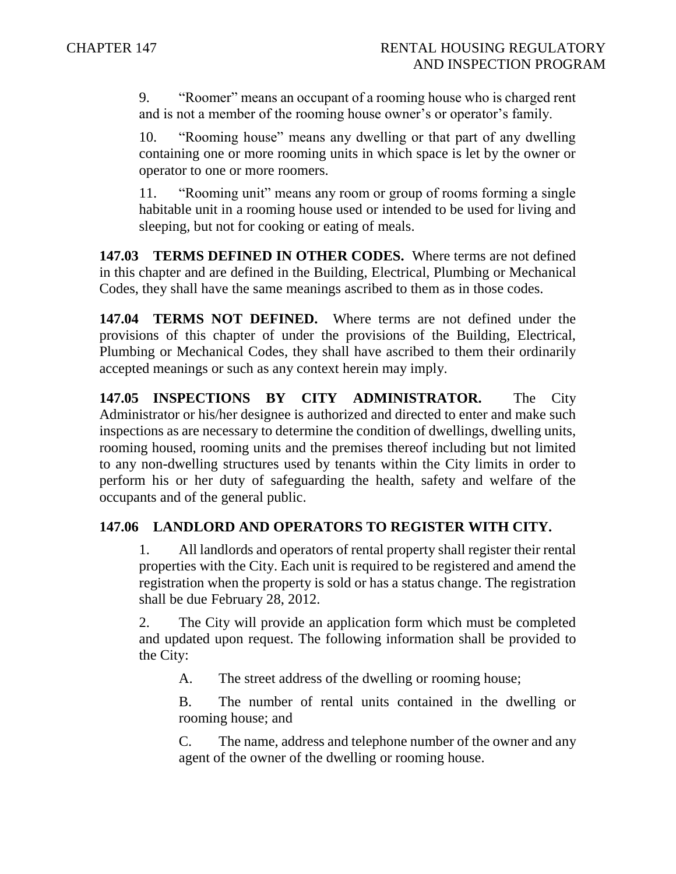9. "Roomer" means an occupant of a rooming house who is charged rent and is not a member of the rooming house owner's or operator's family.

10. "Rooming house" means any dwelling or that part of any dwelling containing one or more rooming units in which space is let by the owner or operator to one or more roomers.

11. "Rooming unit" means any room or group of rooms forming a single habitable unit in a rooming house used or intended to be used for living and sleeping, but not for cooking or eating of meals.

**147.03 TERMS DEFINED IN OTHER CODES.** Where terms are not defined in this chapter and are defined in the Building, Electrical, Plumbing or Mechanical Codes, they shall have the same meanings ascribed to them as in those codes.

**147.04 TERMS NOT DEFINED.** Where terms are not defined under the provisions of this chapter of under the provisions of the Building, Electrical, Plumbing or Mechanical Codes, they shall have ascribed to them their ordinarily accepted meanings or such as any context herein may imply.

**147.05 INSPECTIONS BY CITY ADMINISTRATOR.** The City Administrator or his/her designee is authorized and directed to enter and make such inspections as are necessary to determine the condition of dwellings, dwelling units, rooming housed, rooming units and the premises thereof including but not limited to any non-dwelling structures used by tenants within the City limits in order to perform his or her duty of safeguarding the health, safety and welfare of the occupants and of the general public.

# **147.06 LANDLORD AND OPERATORS TO REGISTER WITH CITY.**

1. All landlords and operators of rental property shall register their rental properties with the City. Each unit is required to be registered and amend the registration when the property is sold or has a status change. The registration shall be due February 28, 2012.

2. The City will provide an application form which must be completed and updated upon request. The following information shall be provided to the City:

A. The street address of the dwelling or rooming house;

B. The number of rental units contained in the dwelling or rooming house; and

C. The name, address and telephone number of the owner and any agent of the owner of the dwelling or rooming house.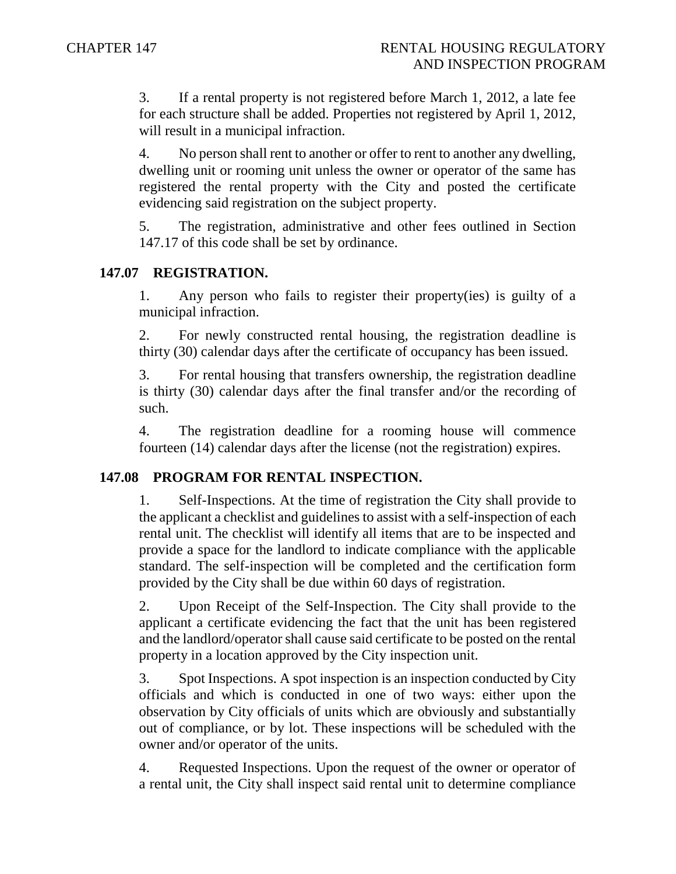3. If a rental property is not registered before March 1, 2012, a late fee for each structure shall be added. Properties not registered by April 1, 2012, will result in a municipal infraction.

4. No person shall rent to another or offer to rent to another any dwelling, dwelling unit or rooming unit unless the owner or operator of the same has registered the rental property with the City and posted the certificate evidencing said registration on the subject property.

5. The registration, administrative and other fees outlined in Section 147.17 of this code shall be set by ordinance.

### **147.07 REGISTRATION.**

1. Any person who fails to register their property(ies) is guilty of a municipal infraction.

2. For newly constructed rental housing, the registration deadline is thirty (30) calendar days after the certificate of occupancy has been issued.

3. For rental housing that transfers ownership, the registration deadline is thirty (30) calendar days after the final transfer and/or the recording of such.

4. The registration deadline for a rooming house will commence fourteen (14) calendar days after the license (not the registration) expires.

#### **147.08 PROGRAM FOR RENTAL INSPECTION.**

1. Self-Inspections. At the time of registration the City shall provide to the applicant a checklist and guidelines to assist with a self-inspection of each rental unit. The checklist will identify all items that are to be inspected and provide a space for the landlord to indicate compliance with the applicable standard. The self-inspection will be completed and the certification form provided by the City shall be due within 60 days of registration.

2. Upon Receipt of the Self-Inspection. The City shall provide to the applicant a certificate evidencing the fact that the unit has been registered and the landlord/operator shall cause said certificate to be posted on the rental property in a location approved by the City inspection unit.

3. Spot Inspections. A spot inspection is an inspection conducted by City officials and which is conducted in one of two ways: either upon the observation by City officials of units which are obviously and substantially out of compliance, or by lot. These inspections will be scheduled with the owner and/or operator of the units.

4. Requested Inspections. Upon the request of the owner or operator of a rental unit, the City shall inspect said rental unit to determine compliance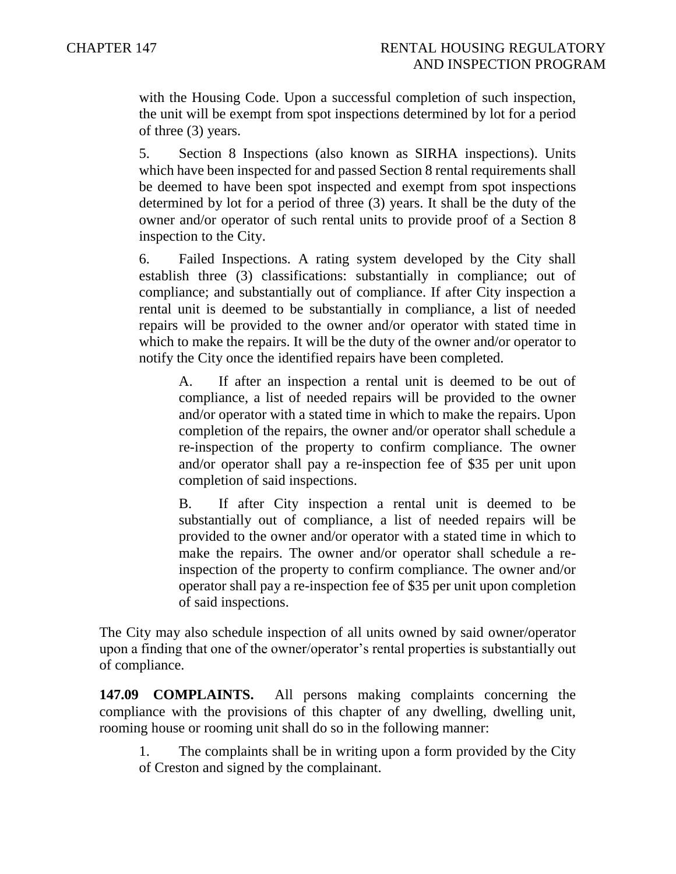with the Housing Code. Upon a successful completion of such inspection, the unit will be exempt from spot inspections determined by lot for a period of three (3) years.

5. Section 8 Inspections (also known as SIRHA inspections). Units which have been inspected for and passed Section 8 rental requirements shall be deemed to have been spot inspected and exempt from spot inspections determined by lot for a period of three (3) years. It shall be the duty of the owner and/or operator of such rental units to provide proof of a Section 8 inspection to the City.

6. Failed Inspections. A rating system developed by the City shall establish three (3) classifications: substantially in compliance; out of compliance; and substantially out of compliance. If after City inspection a rental unit is deemed to be substantially in compliance, a list of needed repairs will be provided to the owner and/or operator with stated time in which to make the repairs. It will be the duty of the owner and/or operator to notify the City once the identified repairs have been completed.

A. If after an inspection a rental unit is deemed to be out of compliance, a list of needed repairs will be provided to the owner and/or operator with a stated time in which to make the repairs. Upon completion of the repairs, the owner and/or operator shall schedule a re-inspection of the property to confirm compliance. The owner and/or operator shall pay a re-inspection fee of \$35 per unit upon completion of said inspections.

B. If after City inspection a rental unit is deemed to be substantially out of compliance, a list of needed repairs will be provided to the owner and/or operator with a stated time in which to make the repairs. The owner and/or operator shall schedule a reinspection of the property to confirm compliance. The owner and/or operator shall pay a re-inspection fee of \$35 per unit upon completion of said inspections.

The City may also schedule inspection of all units owned by said owner/operator upon a finding that one of the owner/operator's rental properties is substantially out of compliance.

**147.09 COMPLAINTS.** All persons making complaints concerning the compliance with the provisions of this chapter of any dwelling, dwelling unit, rooming house or rooming unit shall do so in the following manner:

1. The complaints shall be in writing upon a form provided by the City of Creston and signed by the complainant.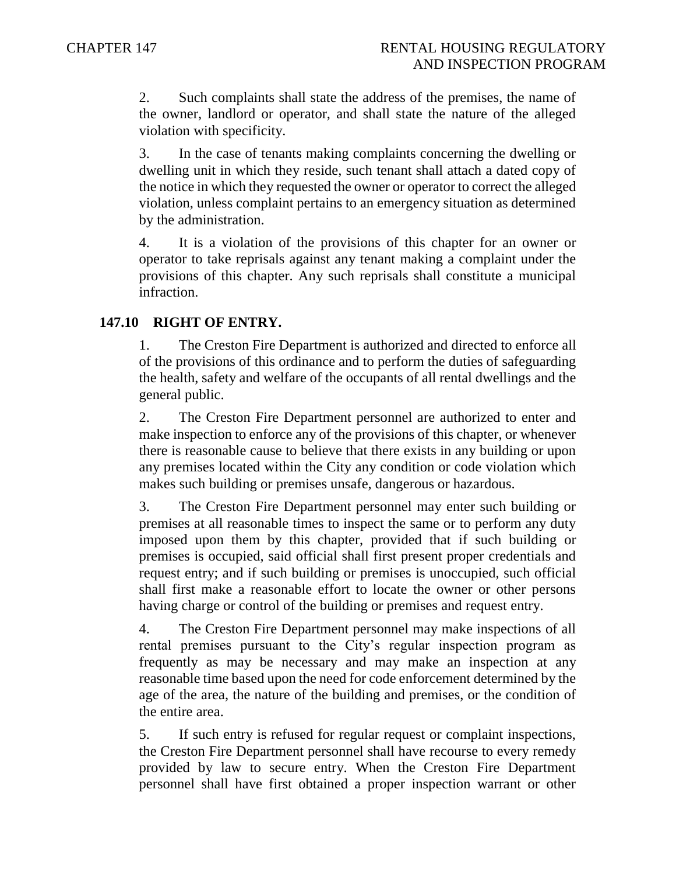2. Such complaints shall state the address of the premises, the name of the owner, landlord or operator, and shall state the nature of the alleged violation with specificity.

3. In the case of tenants making complaints concerning the dwelling or dwelling unit in which they reside, such tenant shall attach a dated copy of the notice in which they requested the owner or operator to correct the alleged violation, unless complaint pertains to an emergency situation as determined by the administration.

4. It is a violation of the provisions of this chapter for an owner or operator to take reprisals against any tenant making a complaint under the provisions of this chapter. Any such reprisals shall constitute a municipal infraction.

### **147.10 RIGHT OF ENTRY.**

1. The Creston Fire Department is authorized and directed to enforce all of the provisions of this ordinance and to perform the duties of safeguarding the health, safety and welfare of the occupants of all rental dwellings and the general public.

2. The Creston Fire Department personnel are authorized to enter and make inspection to enforce any of the provisions of this chapter, or whenever there is reasonable cause to believe that there exists in any building or upon any premises located within the City any condition or code violation which makes such building or premises unsafe, dangerous or hazardous.

3. The Creston Fire Department personnel may enter such building or premises at all reasonable times to inspect the same or to perform any duty imposed upon them by this chapter, provided that if such building or premises is occupied, said official shall first present proper credentials and request entry; and if such building or premises is unoccupied, such official shall first make a reasonable effort to locate the owner or other persons having charge or control of the building or premises and request entry.

4. The Creston Fire Department personnel may make inspections of all rental premises pursuant to the City's regular inspection program as frequently as may be necessary and may make an inspection at any reasonable time based upon the need for code enforcement determined by the age of the area, the nature of the building and premises, or the condition of the entire area.

5. If such entry is refused for regular request or complaint inspections, the Creston Fire Department personnel shall have recourse to every remedy provided by law to secure entry. When the Creston Fire Department personnel shall have first obtained a proper inspection warrant or other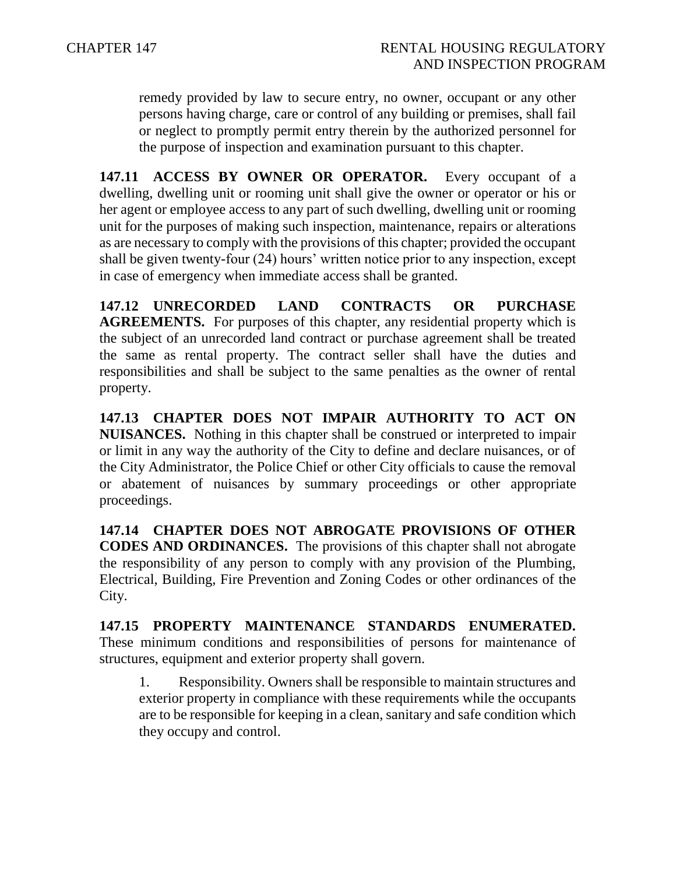remedy provided by law to secure entry, no owner, occupant or any other persons having charge, care or control of any building or premises, shall fail or neglect to promptly permit entry therein by the authorized personnel for the purpose of inspection and examination pursuant to this chapter.

**147.11 ACCESS BY OWNER OR OPERATOR.** Every occupant of a dwelling, dwelling unit or rooming unit shall give the owner or operator or his or her agent or employee access to any part of such dwelling, dwelling unit or rooming unit for the purposes of making such inspection, maintenance, repairs or alterations as are necessary to comply with the provisions of this chapter; provided the occupant shall be given twenty-four (24) hours' written notice prior to any inspection, except in case of emergency when immediate access shall be granted.

**147.12 UNRECORDED LAND CONTRACTS OR PURCHASE AGREEMENTS.** For purposes of this chapter, any residential property which is the subject of an unrecorded land contract or purchase agreement shall be treated the same as rental property. The contract seller shall have the duties and responsibilities and shall be subject to the same penalties as the owner of rental property.

**147.13 CHAPTER DOES NOT IMPAIR AUTHORITY TO ACT ON NUISANCES.** Nothing in this chapter shall be construed or interpreted to impair or limit in any way the authority of the City to define and declare nuisances, or of the City Administrator, the Police Chief or other City officials to cause the removal or abatement of nuisances by summary proceedings or other appropriate proceedings.

**147.14 CHAPTER DOES NOT ABROGATE PROVISIONS OF OTHER CODES AND ORDINANCES.** The provisions of this chapter shall not abrogate the responsibility of any person to comply with any provision of the Plumbing, Electrical, Building, Fire Prevention and Zoning Codes or other ordinances of the City.

**147.15 PROPERTY MAINTENANCE STANDARDS ENUMERATED.**  These minimum conditions and responsibilities of persons for maintenance of structures, equipment and exterior property shall govern.

1. Responsibility. Owners shall be responsible to maintain structures and exterior property in compliance with these requirements while the occupants are to be responsible for keeping in a clean, sanitary and safe condition which they occupy and control.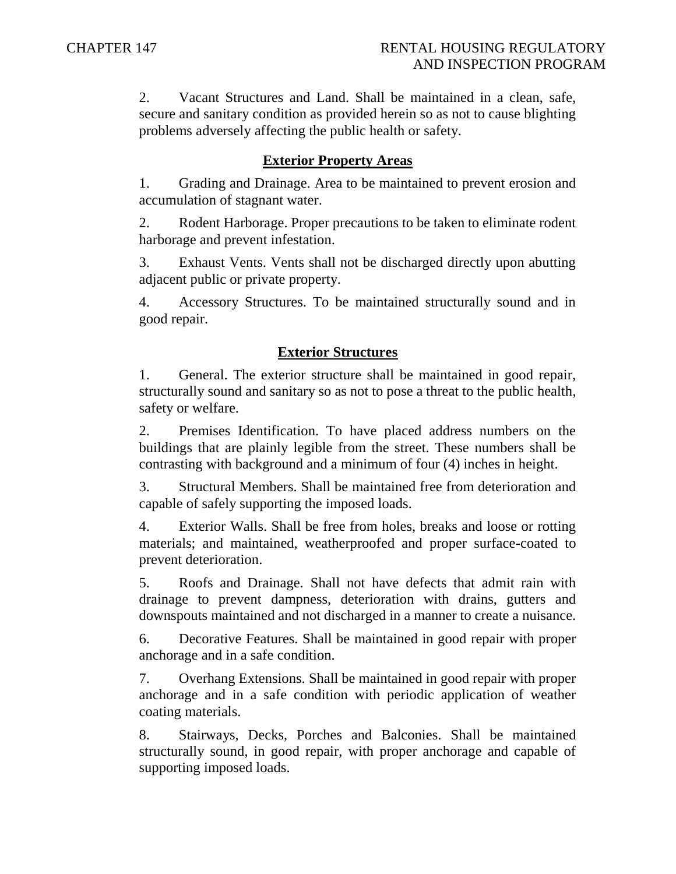2. Vacant Structures and Land. Shall be maintained in a clean, safe, secure and sanitary condition as provided herein so as not to cause blighting problems adversely affecting the public health or safety.

#### **Exterior Property Areas**

1. Grading and Drainage. Area to be maintained to prevent erosion and accumulation of stagnant water.

2. Rodent Harborage. Proper precautions to be taken to eliminate rodent harborage and prevent infestation.

3. Exhaust Vents. Vents shall not be discharged directly upon abutting adjacent public or private property.

4. Accessory Structures. To be maintained structurally sound and in good repair.

#### **Exterior Structures**

1. General. The exterior structure shall be maintained in good repair, structurally sound and sanitary so as not to pose a threat to the public health, safety or welfare.

2. Premises Identification. To have placed address numbers on the buildings that are plainly legible from the street. These numbers shall be contrasting with background and a minimum of four (4) inches in height.

3. Structural Members. Shall be maintained free from deterioration and capable of safely supporting the imposed loads.

4. Exterior Walls. Shall be free from holes, breaks and loose or rotting materials; and maintained, weatherproofed and proper surface-coated to prevent deterioration.

5. Roofs and Drainage. Shall not have defects that admit rain with drainage to prevent dampness, deterioration with drains, gutters and downspouts maintained and not discharged in a manner to create a nuisance.

6. Decorative Features. Shall be maintained in good repair with proper anchorage and in a safe condition.

7. Overhang Extensions. Shall be maintained in good repair with proper anchorage and in a safe condition with periodic application of weather coating materials.

8. Stairways, Decks, Porches and Balconies. Shall be maintained structurally sound, in good repair, with proper anchorage and capable of supporting imposed loads.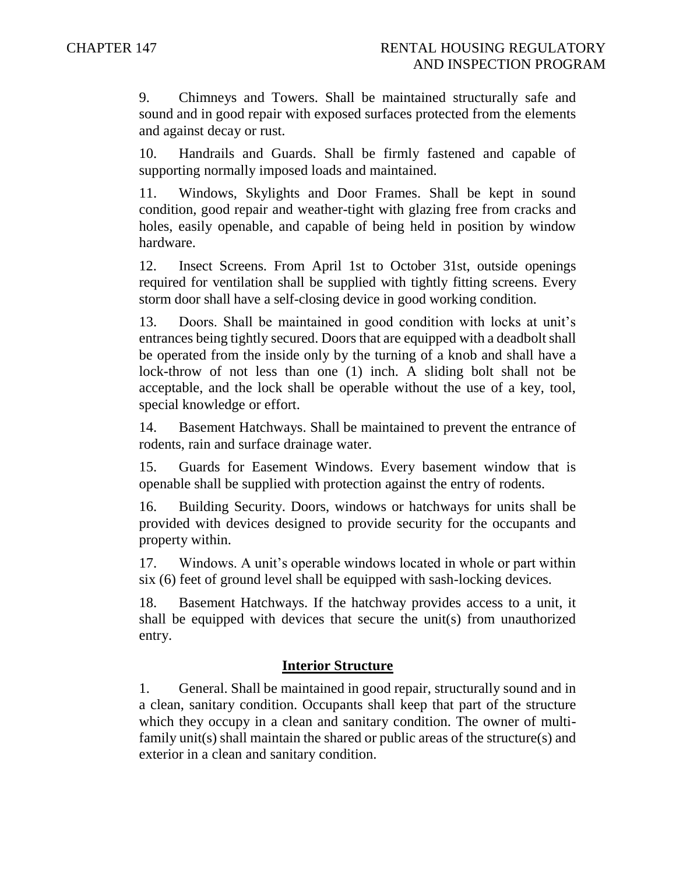9. Chimneys and Towers. Shall be maintained structurally safe and sound and in good repair with exposed surfaces protected from the elements and against decay or rust.

10. Handrails and Guards. Shall be firmly fastened and capable of supporting normally imposed loads and maintained.

11. Windows, Skylights and Door Frames. Shall be kept in sound condition, good repair and weather-tight with glazing free from cracks and holes, easily openable, and capable of being held in position by window hardware.

12. Insect Screens. From April 1st to October 31st, outside openings required for ventilation shall be supplied with tightly fitting screens. Every storm door shall have a self-closing device in good working condition.

13. Doors. Shall be maintained in good condition with locks at unit's entrances being tightly secured. Doors that are equipped with a deadbolt shall be operated from the inside only by the turning of a knob and shall have a lock-throw of not less than one (1) inch. A sliding bolt shall not be acceptable, and the lock shall be operable without the use of a key, tool, special knowledge or effort.

14. Basement Hatchways. Shall be maintained to prevent the entrance of rodents, rain and surface drainage water.

15. Guards for Easement Windows. Every basement window that is openable shall be supplied with protection against the entry of rodents.

16. Building Security. Doors, windows or hatchways for units shall be provided with devices designed to provide security for the occupants and property within.

17. Windows. A unit's operable windows located in whole or part within six (6) feet of ground level shall be equipped with sash-locking devices.

18. Basement Hatchways. If the hatchway provides access to a unit, it shall be equipped with devices that secure the unit(s) from unauthorized entry.

### **Interior Structure**

1. General. Shall be maintained in good repair, structurally sound and in a clean, sanitary condition. Occupants shall keep that part of the structure which they occupy in a clean and sanitary condition. The owner of multifamily unit(s) shall maintain the shared or public areas of the structure(s) and exterior in a clean and sanitary condition.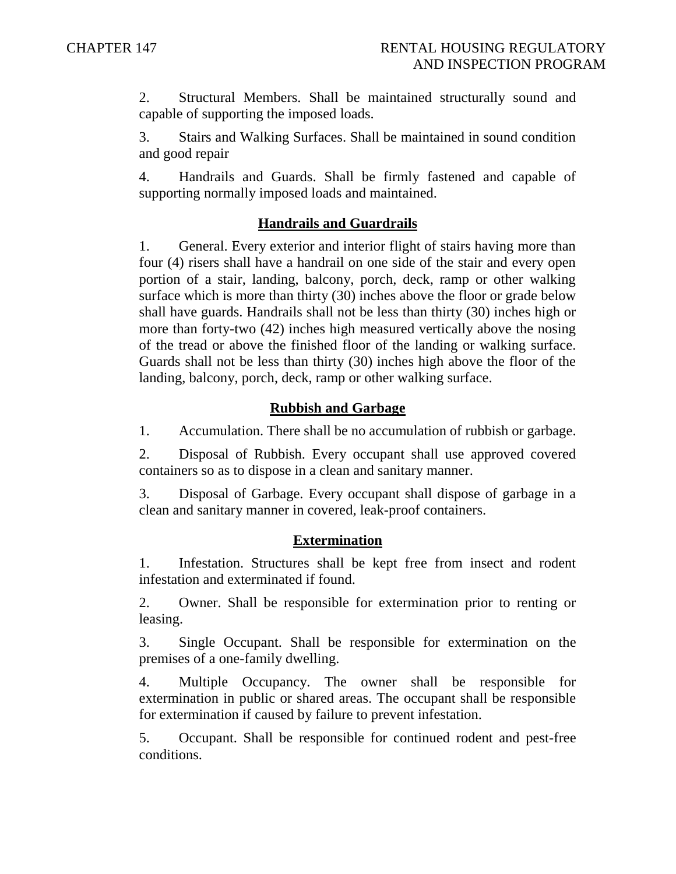2. Structural Members. Shall be maintained structurally sound and capable of supporting the imposed loads.

3. Stairs and Walking Surfaces. Shall be maintained in sound condition and good repair

4. Handrails and Guards. Shall be firmly fastened and capable of supporting normally imposed loads and maintained.

### **Handrails and Guardrails**

1. General. Every exterior and interior flight of stairs having more than four (4) risers shall have a handrail on one side of the stair and every open portion of a stair, landing, balcony, porch, deck, ramp or other walking surface which is more than thirty (30) inches above the floor or grade below shall have guards. Handrails shall not be less than thirty (30) inches high or more than forty-two (42) inches high measured vertically above the nosing of the tread or above the finished floor of the landing or walking surface. Guards shall not be less than thirty (30) inches high above the floor of the landing, balcony, porch, deck, ramp or other walking surface.

### **Rubbish and Garbage**

1. Accumulation. There shall be no accumulation of rubbish or garbage.

2. Disposal of Rubbish. Every occupant shall use approved covered containers so as to dispose in a clean and sanitary manner.

3. Disposal of Garbage. Every occupant shall dispose of garbage in a clean and sanitary manner in covered, leak-proof containers.

### **Extermination**

1. Infestation. Structures shall be kept free from insect and rodent infestation and exterminated if found.

2. Owner. Shall be responsible for extermination prior to renting or leasing.

3. Single Occupant. Shall be responsible for extermination on the premises of a one-family dwelling.

4. Multiple Occupancy. The owner shall be responsible for extermination in public or shared areas. The occupant shall be responsible for extermination if caused by failure to prevent infestation.

5. Occupant. Shall be responsible for continued rodent and pest-free conditions.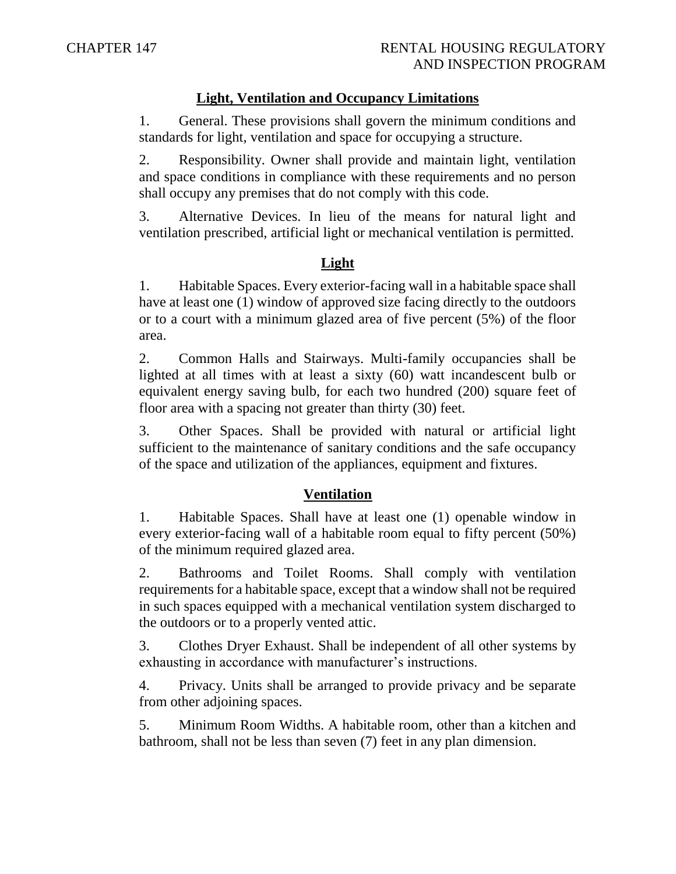### **Light, Ventilation and Occupancy Limitations**

1. General. These provisions shall govern the minimum conditions and standards for light, ventilation and space for occupying a structure.

2. Responsibility. Owner shall provide and maintain light, ventilation and space conditions in compliance with these requirements and no person shall occupy any premises that do not comply with this code.

3. Alternative Devices. In lieu of the means for natural light and ventilation prescribed, artificial light or mechanical ventilation is permitted.

# **Light**

1. Habitable Spaces. Every exterior-facing wall in a habitable space shall have at least one (1) window of approved size facing directly to the outdoors or to a court with a minimum glazed area of five percent (5%) of the floor area.

2. Common Halls and Stairways. Multi-family occupancies shall be lighted at all times with at least a sixty (60) watt incandescent bulb or equivalent energy saving bulb, for each two hundred (200) square feet of floor area with a spacing not greater than thirty (30) feet.

3. Other Spaces. Shall be provided with natural or artificial light sufficient to the maintenance of sanitary conditions and the safe occupancy of the space and utilization of the appliances, equipment and fixtures.

# **Ventilation**

1. Habitable Spaces. Shall have at least one (1) openable window in every exterior-facing wall of a habitable room equal to fifty percent (50%) of the minimum required glazed area.

2. Bathrooms and Toilet Rooms. Shall comply with ventilation requirements for a habitable space, except that a window shall not be required in such spaces equipped with a mechanical ventilation system discharged to the outdoors or to a properly vented attic.

3. Clothes Dryer Exhaust. Shall be independent of all other systems by exhausting in accordance with manufacturer's instructions.

4. Privacy. Units shall be arranged to provide privacy and be separate from other adjoining spaces.

5. Minimum Room Widths. A habitable room, other than a kitchen and bathroom, shall not be less than seven (7) feet in any plan dimension.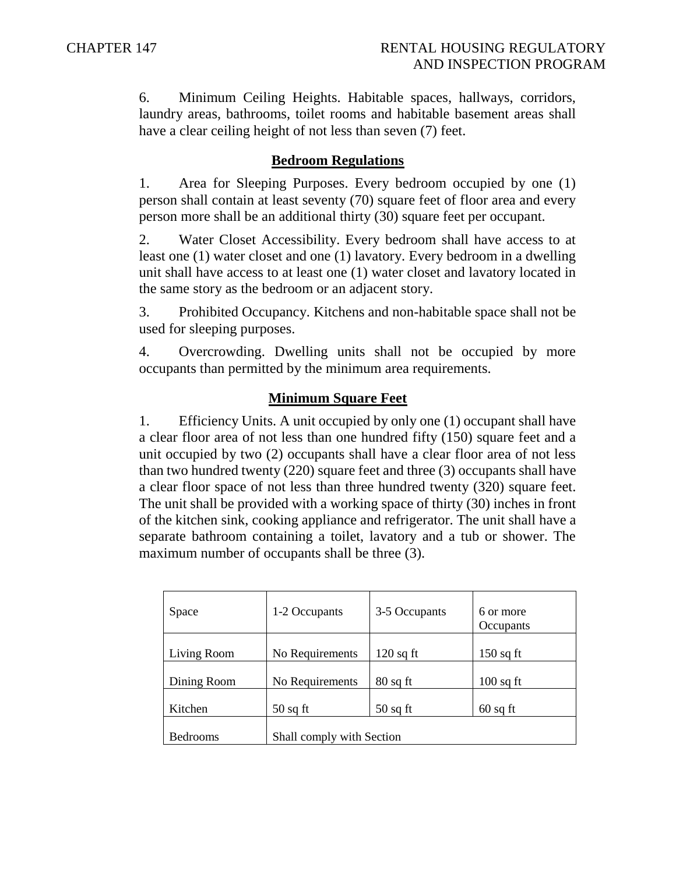6. Minimum Ceiling Heights. Habitable spaces, hallways, corridors, laundry areas, bathrooms, toilet rooms and habitable basement areas shall have a clear ceiling height of not less than seven (7) feet.

### **Bedroom Regulations**

1. Area for Sleeping Purposes. Every bedroom occupied by one (1) person shall contain at least seventy (70) square feet of floor area and every person more shall be an additional thirty (30) square feet per occupant.

2. Water Closet Accessibility. Every bedroom shall have access to at least one (1) water closet and one (1) lavatory. Every bedroom in a dwelling unit shall have access to at least one (1) water closet and lavatory located in the same story as the bedroom or an adjacent story.

3. Prohibited Occupancy. Kitchens and non-habitable space shall not be used for sleeping purposes.

4. Overcrowding. Dwelling units shall not be occupied by more occupants than permitted by the minimum area requirements.

### **Minimum Square Feet**

1. Efficiency Units. A unit occupied by only one (1) occupant shall have a clear floor area of not less than one hundred fifty (150) square feet and a unit occupied by two (2) occupants shall have a clear floor area of not less than two hundred twenty (220) square feet and three (3) occupants shall have a clear floor space of not less than three hundred twenty (320) square feet. The unit shall be provided with a working space of thirty (30) inches in front of the kitchen sink, cooking appliance and refrigerator. The unit shall have a separate bathroom containing a toilet, lavatory and a tub or shower. The maximum number of occupants shall be three (3).

| Space           | 1-2 Occupants             | 3-5 Occupants | 6 or more<br>Occupants |
|-----------------|---------------------------|---------------|------------------------|
| Living Room     | No Requirements           | $120$ sq ft   | $150$ sq ft            |
|                 |                           |               |                        |
| Dining Room     | No Requirements           | $80$ sq ft    | $100$ sq ft            |
|                 |                           |               |                        |
| Kitchen         | $50$ sq ft                | $50$ sq ft    | $60$ sq ft             |
|                 |                           |               |                        |
| <b>Bedrooms</b> | Shall comply with Section |               |                        |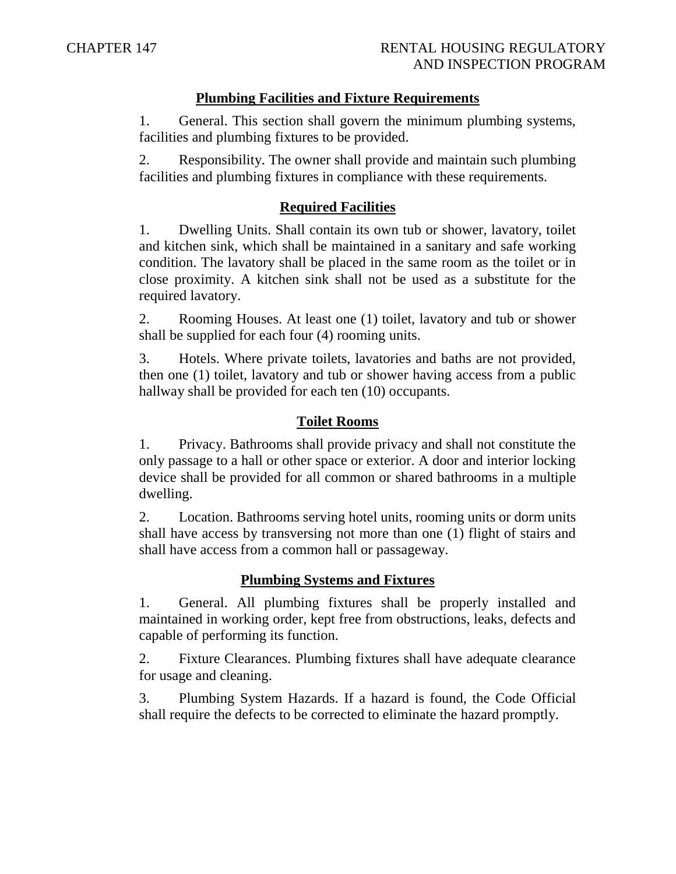### **Plumbing Facilities and Fixture Requirements**

1. General. This section shall govern the minimum plumbing systems, facilities and plumbing fixtures to be provided.

2. Responsibility. The owner shall provide and maintain such plumbing facilities and plumbing fixtures in compliance with these requirements.

### **Required Facilities**

1. Dwelling Units. Shall contain its own tub or shower, lavatory, toilet and kitchen sink, which shall be maintained in a sanitary and safe working condition. The lavatory shall be placed in the same room as the toilet or in close proximity. A kitchen sink shall not be used as a substitute for the required lavatory.

2. Rooming Houses. At least one (1) toilet, lavatory and tub or shower shall be supplied for each four (4) rooming units.

3. Hotels. Where private toilets, lavatories and baths are not provided, then one (1) toilet, lavatory and tub or shower having access from a public hallway shall be provided for each ten (10) occupants.

### **Toilet Rooms**

1. Privacy. Bathrooms shall provide privacy and shall not constitute the only passage to a hall or other space or exterior. A door and interior locking device shall be provided for all common or shared bathrooms in a multiple dwelling.

2. Location. Bathrooms serving hotel units, rooming units or dorm units shall have access by transversing not more than one (1) flight of stairs and shall have access from a common hall or passageway.

# **Plumbing Systems and Fixtures**

1. General. All plumbing fixtures shall be properly installed and maintained in working order, kept free from obstructions, leaks, defects and capable of performing its function.

2. Fixture Clearances. Plumbing fixtures shall have adequate clearance for usage and cleaning.

3. Plumbing System Hazards. If a hazard is found, the Code Official shall require the defects to be corrected to eliminate the hazard promptly.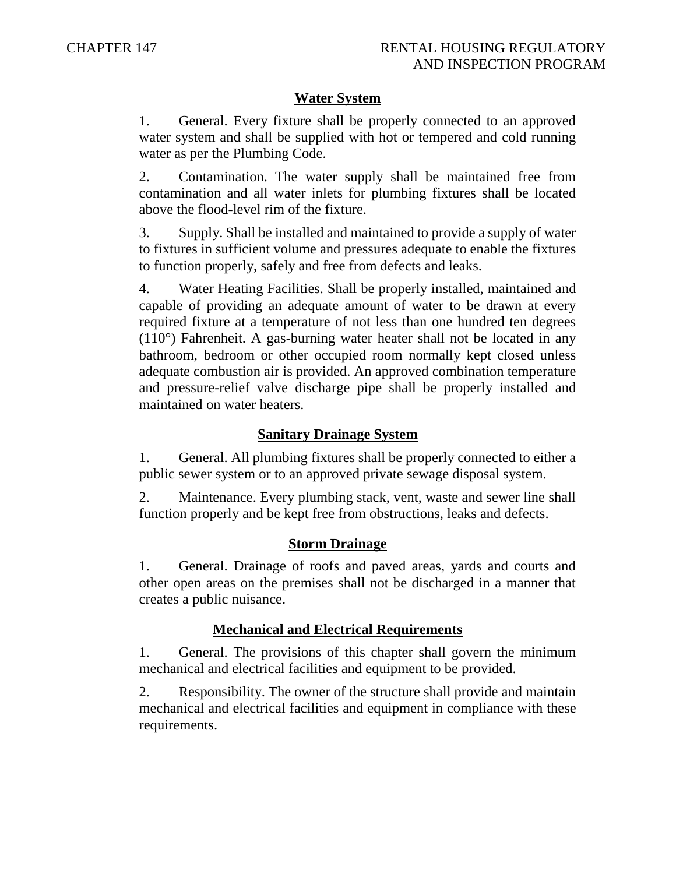### **Water System**

1. General. Every fixture shall be properly connected to an approved water system and shall be supplied with hot or tempered and cold running water as per the Plumbing Code.

2. Contamination. The water supply shall be maintained free from contamination and all water inlets for plumbing fixtures shall be located above the flood-level rim of the fixture.

3. Supply. Shall be installed and maintained to provide a supply of water to fixtures in sufficient volume and pressures adequate to enable the fixtures to function properly, safely and free from defects and leaks.

4. Water Heating Facilities. Shall be properly installed, maintained and capable of providing an adequate amount of water to be drawn at every required fixture at a temperature of not less than one hundred ten degrees (110°) Fahrenheit. A gas-burning water heater shall not be located in any bathroom, bedroom or other occupied room normally kept closed unless adequate combustion air is provided. An approved combination temperature and pressure-relief valve discharge pipe shall be properly installed and maintained on water heaters.

#### **Sanitary Drainage System**

1. General. All plumbing fixtures shall be properly connected to either a public sewer system or to an approved private sewage disposal system.

2. Maintenance. Every plumbing stack, vent, waste and sewer line shall function properly and be kept free from obstructions, leaks and defects.

#### **Storm Drainage**

1. General. Drainage of roofs and paved areas, yards and courts and other open areas on the premises shall not be discharged in a manner that creates a public nuisance.

### **Mechanical and Electrical Requirements**

1. General. The provisions of this chapter shall govern the minimum mechanical and electrical facilities and equipment to be provided.

2. Responsibility. The owner of the structure shall provide and maintain mechanical and electrical facilities and equipment in compliance with these requirements.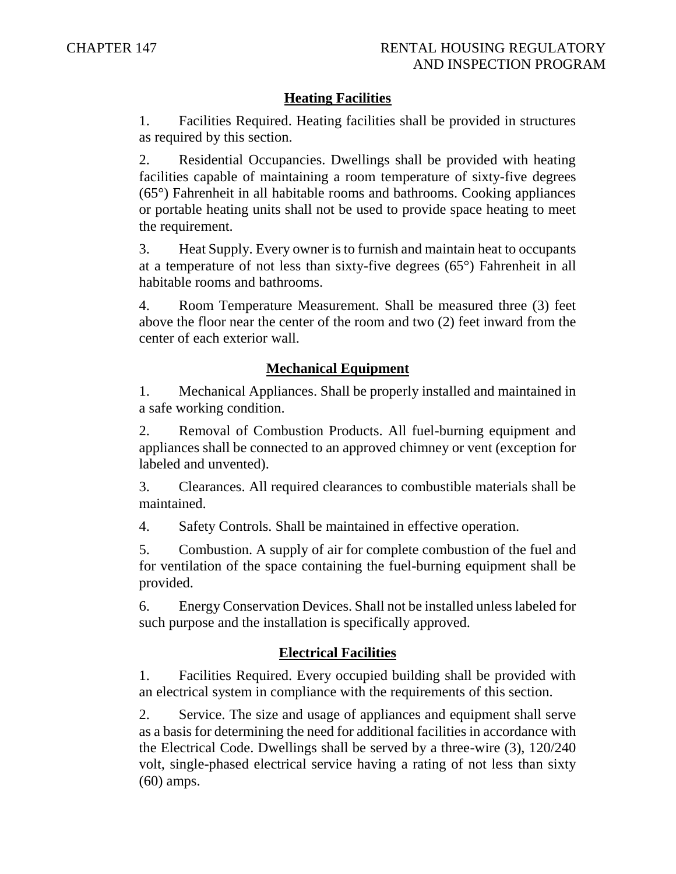### **Heating Facilities**

1. Facilities Required. Heating facilities shall be provided in structures as required by this section.

2. Residential Occupancies. Dwellings shall be provided with heating facilities capable of maintaining a room temperature of sixty-five degrees (65°) Fahrenheit in all habitable rooms and bathrooms. Cooking appliances or portable heating units shall not be used to provide space heating to meet the requirement.

3. Heat Supply. Every owner is to furnish and maintain heat to occupants at a temperature of not less than sixty-five degrees (65°) Fahrenheit in all habitable rooms and bathrooms.

4. Room Temperature Measurement. Shall be measured three (3) feet above the floor near the center of the room and two (2) feet inward from the center of each exterior wall.

# **Mechanical Equipment**

1. Mechanical Appliances. Shall be properly installed and maintained in a safe working condition.

2. Removal of Combustion Products. All fuel-burning equipment and appliances shall be connected to an approved chimney or vent (exception for labeled and unvented).

3. Clearances. All required clearances to combustible materials shall be maintained.

4. Safety Controls. Shall be maintained in effective operation.

5. Combustion. A supply of air for complete combustion of the fuel and for ventilation of the space containing the fuel-burning equipment shall be provided.

6. Energy Conservation Devices. Shall not be installed unless labeled for such purpose and the installation is specifically approved.

### **Electrical Facilities**

1. Facilities Required. Every occupied building shall be provided with an electrical system in compliance with the requirements of this section.

2. Service. The size and usage of appliances and equipment shall serve as a basis for determining the need for additional facilities in accordance with the Electrical Code. Dwellings shall be served by a three-wire (3), 120/240 volt, single-phased electrical service having a rating of not less than sixty (60) amps.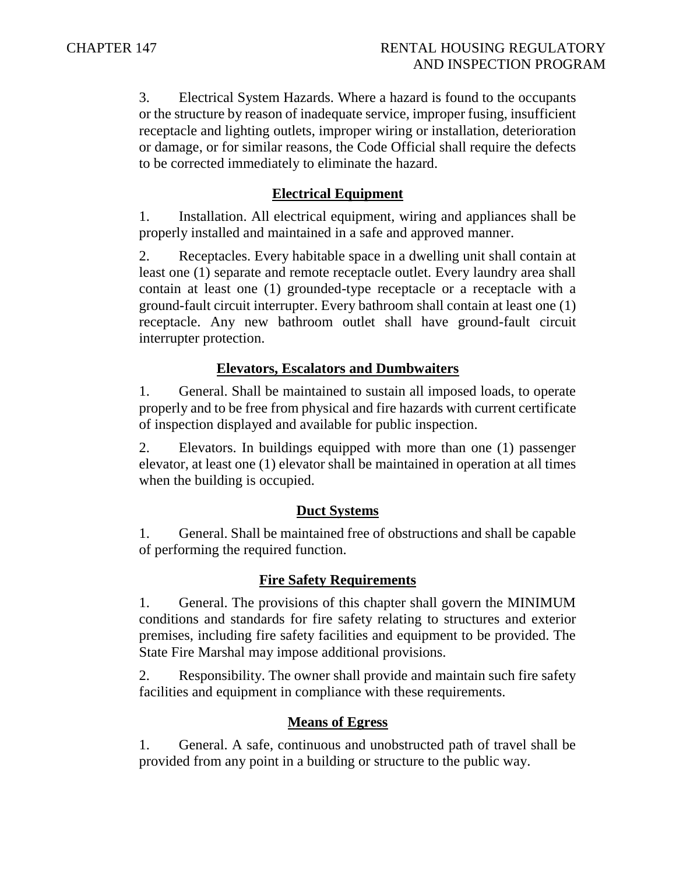3. Electrical System Hazards. Where a hazard is found to the occupants or the structure by reason of inadequate service, improper fusing, insufficient receptacle and lighting outlets, improper wiring or installation, deterioration or damage, or for similar reasons, the Code Official shall require the defects to be corrected immediately to eliminate the hazard.

### **Electrical Equipment**

1. Installation. All electrical equipment, wiring and appliances shall be properly installed and maintained in a safe and approved manner.

2. Receptacles. Every habitable space in a dwelling unit shall contain at least one (1) separate and remote receptacle outlet. Every laundry area shall contain at least one (1) grounded-type receptacle or a receptacle with a ground-fault circuit interrupter. Every bathroom shall contain at least one (1) receptacle. Any new bathroom outlet shall have ground-fault circuit interrupter protection.

# **Elevators, Escalators and Dumbwaiters**

1. General. Shall be maintained to sustain all imposed loads, to operate properly and to be free from physical and fire hazards with current certificate of inspection displayed and available for public inspection.

2. Elevators. In buildings equipped with more than one (1) passenger elevator, at least one (1) elevator shall be maintained in operation at all times when the building is occupied.

### **Duct Systems**

1. General. Shall be maintained free of obstructions and shall be capable of performing the required function.

### **Fire Safety Requirements**

1. General. The provisions of this chapter shall govern the MINIMUM conditions and standards for fire safety relating to structures and exterior premises, including fire safety facilities and equipment to be provided. The State Fire Marshal may impose additional provisions.

2. Responsibility. The owner shall provide and maintain such fire safety facilities and equipment in compliance with these requirements.

# **Means of Egress**

1. General. A safe, continuous and unobstructed path of travel shall be provided from any point in a building or structure to the public way.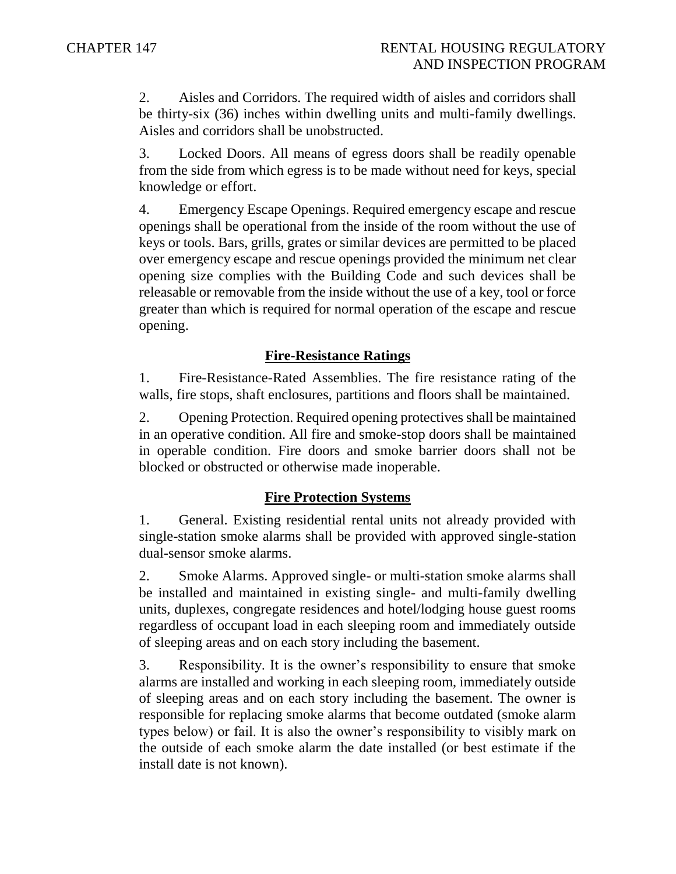2. Aisles and Corridors. The required width of aisles and corridors shall be thirty-six (36) inches within dwelling units and multi-family dwellings. Aisles and corridors shall be unobstructed.

3. Locked Doors. All means of egress doors shall be readily openable from the side from which egress is to be made without need for keys, special knowledge or effort.

4. Emergency Escape Openings. Required emergency escape and rescue openings shall be operational from the inside of the room without the use of keys or tools. Bars, grills, grates or similar devices are permitted to be placed over emergency escape and rescue openings provided the minimum net clear opening size complies with the Building Code and such devices shall be releasable or removable from the inside without the use of a key, tool or force greater than which is required for normal operation of the escape and rescue opening.

### **Fire-Resistance Ratings**

1. Fire-Resistance-Rated Assemblies. The fire resistance rating of the walls, fire stops, shaft enclosures, partitions and floors shall be maintained.

2. Opening Protection. Required opening protectives shall be maintained in an operative condition. All fire and smoke-stop doors shall be maintained in operable condition. Fire doors and smoke barrier doors shall not be blocked or obstructed or otherwise made inoperable.

### **Fire Protection Systems**

1. General. Existing residential rental units not already provided with single-station smoke alarms shall be provided with approved single-station dual-sensor smoke alarms.

2. Smoke Alarms. Approved single- or multi-station smoke alarms shall be installed and maintained in existing single- and multi-family dwelling units, duplexes, congregate residences and hotel/lodging house guest rooms regardless of occupant load in each sleeping room and immediately outside of sleeping areas and on each story including the basement.

3. Responsibility. It is the owner's responsibility to ensure that smoke alarms are installed and working in each sleeping room, immediately outside of sleeping areas and on each story including the basement. The owner is responsible for replacing smoke alarms that become outdated (smoke alarm types below) or fail. It is also the owner's responsibility to visibly mark on the outside of each smoke alarm the date installed (or best estimate if the install date is not known).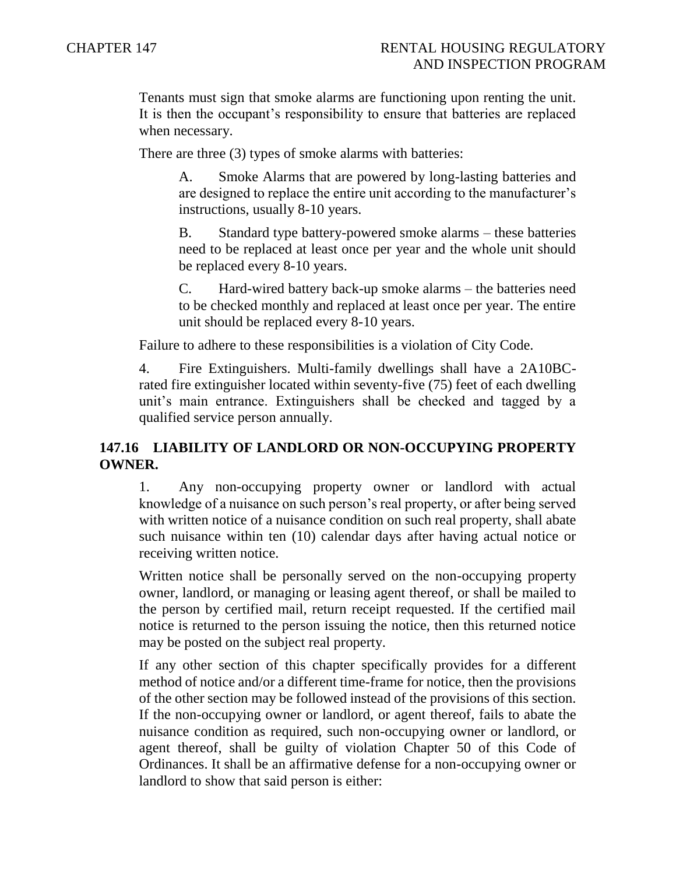Tenants must sign that smoke alarms are functioning upon renting the unit. It is then the occupant's responsibility to ensure that batteries are replaced when necessary.

There are three (3) types of smoke alarms with batteries:

A. Smoke Alarms that are powered by long-lasting batteries and are designed to replace the entire unit according to the manufacturer's instructions, usually 8-10 years.

B. Standard type battery-powered smoke alarms – these batteries need to be replaced at least once per year and the whole unit should be replaced every 8-10 years.

C. Hard-wired battery back-up smoke alarms – the batteries need to be checked monthly and replaced at least once per year. The entire unit should be replaced every 8-10 years.

Failure to adhere to these responsibilities is a violation of City Code.

4. Fire Extinguishers. Multi-family dwellings shall have a 2A10BCrated fire extinguisher located within seventy-five (75) feet of each dwelling unit's main entrance. Extinguishers shall be checked and tagged by a qualified service person annually.

### **147.16 LIABILITY OF LANDLORD OR NON-OCCUPYING PROPERTY OWNER.**

1. Any non-occupying property owner or landlord with actual knowledge of a nuisance on such person's real property, or after being served with written notice of a nuisance condition on such real property, shall abate such nuisance within ten (10) calendar days after having actual notice or receiving written notice.

Written notice shall be personally served on the non-occupying property owner, landlord, or managing or leasing agent thereof, or shall be mailed to the person by certified mail, return receipt requested. If the certified mail notice is returned to the person issuing the notice, then this returned notice may be posted on the subject real property.

If any other section of this chapter specifically provides for a different method of notice and/or a different time-frame for notice, then the provisions of the other section may be followed instead of the provisions of this section. If the non-occupying owner or landlord, or agent thereof, fails to abate the nuisance condition as required, such non-occupying owner or landlord, or agent thereof, shall be guilty of violation Chapter 50 of this Code of Ordinances. It shall be an affirmative defense for a non-occupying owner or landlord to show that said person is either: